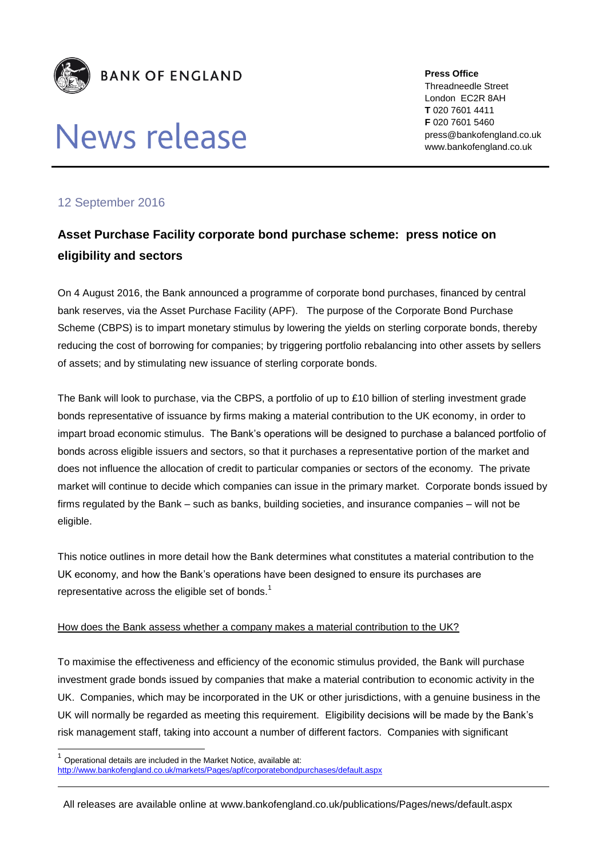

# News release

**Press Office** Threadneedle Street London EC2R 8AH **T** 020 7601 4411 **F** 020 7601 5460 press@bankofengland.co.uk www.bankofengland.co.uk

## 12 September 2016

 $\overline{\phantom{a}}$ 

## **Asset Purchase Facility corporate bond purchase scheme: press notice on eligibility and sectors**

On 4 August 2016, the Bank announced a programme of corporate bond purchases, financed by central bank reserves, via the Asset Purchase Facility (APF). The purpose of the Corporate Bond Purchase Scheme (CBPS) is to impart monetary stimulus by lowering the yields on sterling corporate bonds, thereby reducing the cost of borrowing for companies; by triggering portfolio rebalancing into other assets by sellers of assets; and by stimulating new issuance of sterling corporate bonds.

The Bank will look to purchase, via the CBPS, a portfolio of up to £10 billion of sterling investment grade bonds representative of issuance by firms making a material contribution to the UK economy, in order to impart broad economic stimulus. The Bank's operations will be designed to purchase a balanced portfolio of bonds across eligible issuers and sectors, so that it purchases a representative portion of the market and does not influence the allocation of credit to particular companies or sectors of the economy. The private market will continue to decide which companies can issue in the primary market. Corporate bonds issued by firms regulated by the Bank – such as banks, building societies, and insurance companies – will not be eligible.

This notice outlines in more detail how the Bank determines what constitutes a material contribution to the UK economy, and how the Bank's operations have been designed to ensure its purchases are representative across the eligible set of bonds. $<sup>1</sup>$ </sup>

### How does the Bank assess whether a company makes a material contribution to the UK?

To maximise the effectiveness and efficiency of the economic stimulus provided, the Bank will purchase investment grade bonds issued by companies that make a material contribution to economic activity in the UK. Companies, which may be incorporated in the UK or other jurisdictions, with a genuine business in the UK will normally be regarded as meeting this requirement. Eligibility decisions will be made by the Bank's risk management staff, taking into account a number of different factors. Companies with significant

<sup>1</sup> Operational details are included in the Market Notice, available at: <http://www.bankofengland.co.uk/markets/Pages/apf/corporatebondpurchases/default.aspx>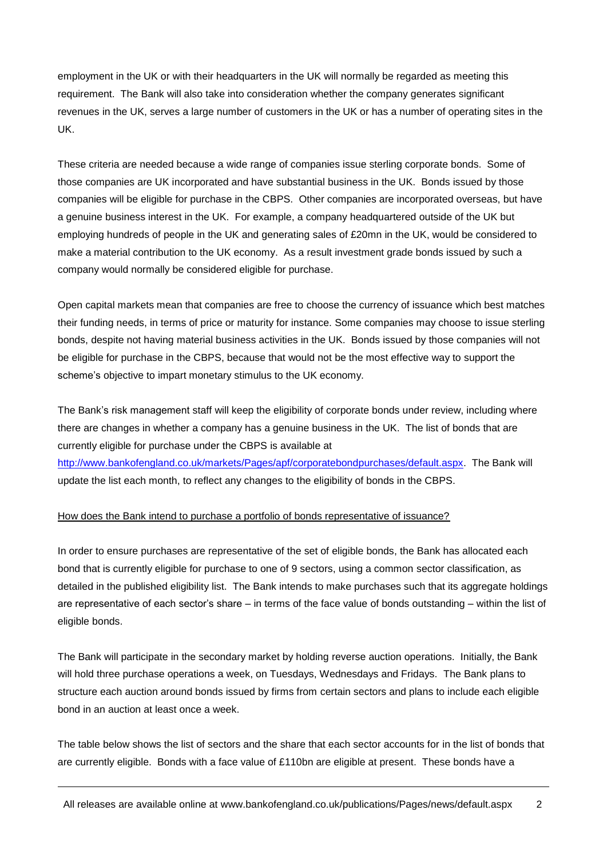employment in the UK or with their headquarters in the UK will normally be regarded as meeting this requirement. The Bank will also take into consideration whether the company generates significant revenues in the UK, serves a large number of customers in the UK or has a number of operating sites in the UK.

These criteria are needed because a wide range of companies issue sterling corporate bonds. Some of those companies are UK incorporated and have substantial business in the UK. Bonds issued by those companies will be eligible for purchase in the CBPS. Other companies are incorporated overseas, but have a genuine business interest in the UK. For example, a company headquartered outside of the UK but employing hundreds of people in the UK and generating sales of £20mn in the UK, would be considered to make a material contribution to the UK economy. As a result investment grade bonds issued by such a company would normally be considered eligible for purchase.

Open capital markets mean that companies are free to choose the currency of issuance which best matches their funding needs, in terms of price or maturity for instance. Some companies may choose to issue sterling bonds, despite not having material business activities in the UK. Bonds issued by those companies will not be eligible for purchase in the CBPS, because that would not be the most effective way to support the scheme's objective to impart monetary stimulus to the UK economy.

The Bank's risk management staff will keep the eligibility of corporate bonds under review, including where there are changes in whether a company has a genuine business in the UK. The list of bonds that are currently eligible for purchase under the CBPS is available at

[http://www.bankofengland.co.uk/markets/Pages/apf/corporatebondpurchases/default.aspx.](http://www.bankofengland.co.uk/markets/Pages/apf/corporatebondpurchases/default.aspx) The Bank will update the list each month, to reflect any changes to the eligibility of bonds in the CBPS.

#### How does the Bank intend to purchase a portfolio of bonds representative of issuance?

In order to ensure purchases are representative of the set of eligible bonds, the Bank has allocated each bond that is currently eligible for purchase to one of 9 sectors, using a common sector classification, as detailed in the published eligibility list. The Bank intends to make purchases such that its aggregate holdings are representative of each sector's share – in terms of the face value of bonds outstanding – within the list of eligible bonds.

The Bank will participate in the secondary market by holding reverse auction operations. Initially, the Bank will hold three purchase operations a week, on Tuesdays, Wednesdays and Fridays. The Bank plans to structure each auction around bonds issued by firms from certain sectors and plans to include each eligible bond in an auction at least once a week.

The table below shows the list of sectors and the share that each sector accounts for in the list of bonds that are currently eligible. Bonds with a face value of £110bn are eligible at present. These bonds have a